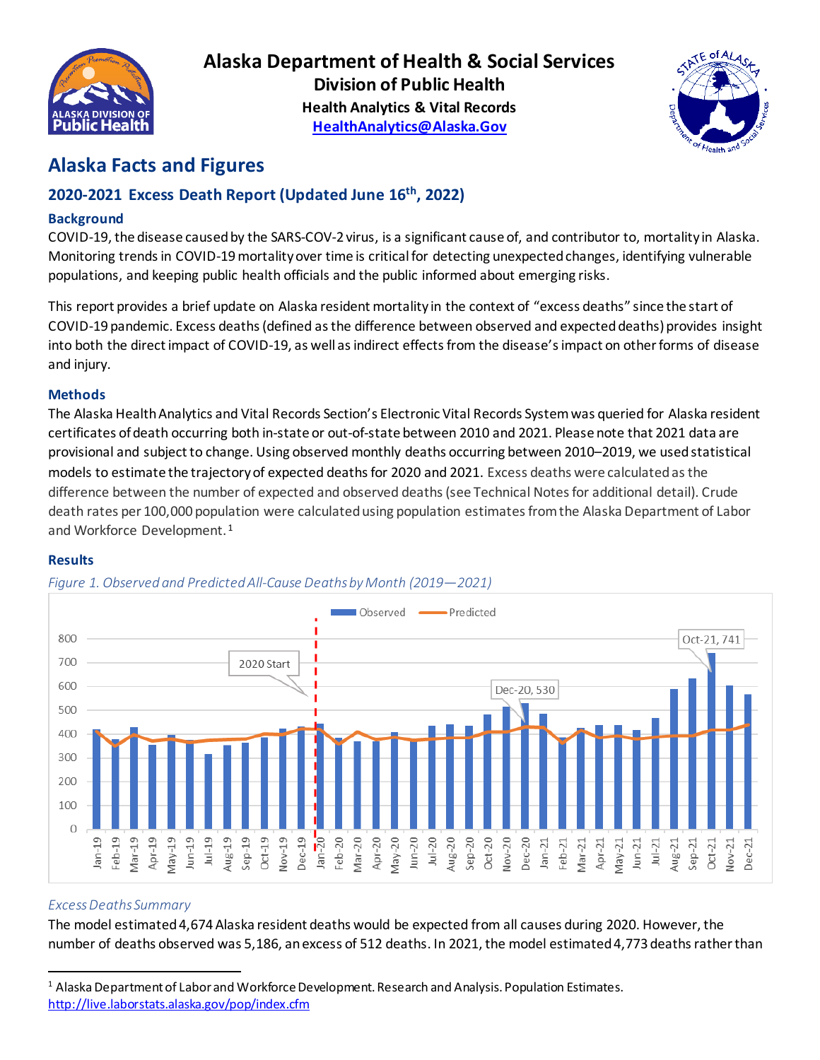

**Alaska Department of Health & Social Services Division of Public Health Health Analytics & Vital Records [HealthAnalytics@Alaska.Gov](mailto:HealthAnalytics@Alaska.Gov)**



# **Alaska Facts and Figures**

## **2020-2021 Excess Death Report (Updated June 16th, 2022)**

## **Background**

COVID-19, the disease caused by the SARS-COV-2 virus, is a significant cause of, and contributor to, mortality in Alaska. Monitoring trends in COVID-19 mortality over time is critical for detecting unexpected changes, identifying vulnerable populations, and keeping public health officials and the public informed about emerging risks.

This report provides a brief update on Alaska resident mortality in the context of "excess deaths" since the start of COVID-19 pandemic. Excess deaths (defined as the difference between observed and expecteddeaths) provides insight into both the direct impact of COVID-19, as well as indirect effects from the disease's impact on other forms of disease and injury.

## **Methods**

The Alaska Health Analytics and Vital Records Section's Electronic Vital Records System was queried for Alaska resident certificates of death occurring both in-state or out-of-state between 2010 and 2021. Please note that 2021 data are provisional and subject to change. Using observed monthly deaths occurring between 2010–2019, we used statistical models to estimate the trajectory of expected deaths for 2020 and 2021. Excess deaths were calculated as the difference between the number of expected and observed deaths(see Technical Notes for additional detail). Crude death rates per 100,000 population were calculatedusing population estimates from the Alaska Department of Labor and Workforce Development. [1](#page-0-0)

#### **Results**



## *Figure 1. Observed and Predicted All-Cause Deaths by Month (2019—2021)*

## *Excess Deaths Summary*

The model estimated 4,674 Alaska resident deaths would be expected from all causes during 2020. However, the number of deaths observed was 5,186, an excess of 512 deaths. In 2021, the model estimated 4,773 deathsrather than

<span id="page-0-0"></span><sup>1</sup> Alaska Department of Labor and Workforce Development. Research and Analysis. Population Estimates. <http://live.laborstats.alaska.gov/pop/index.cfm>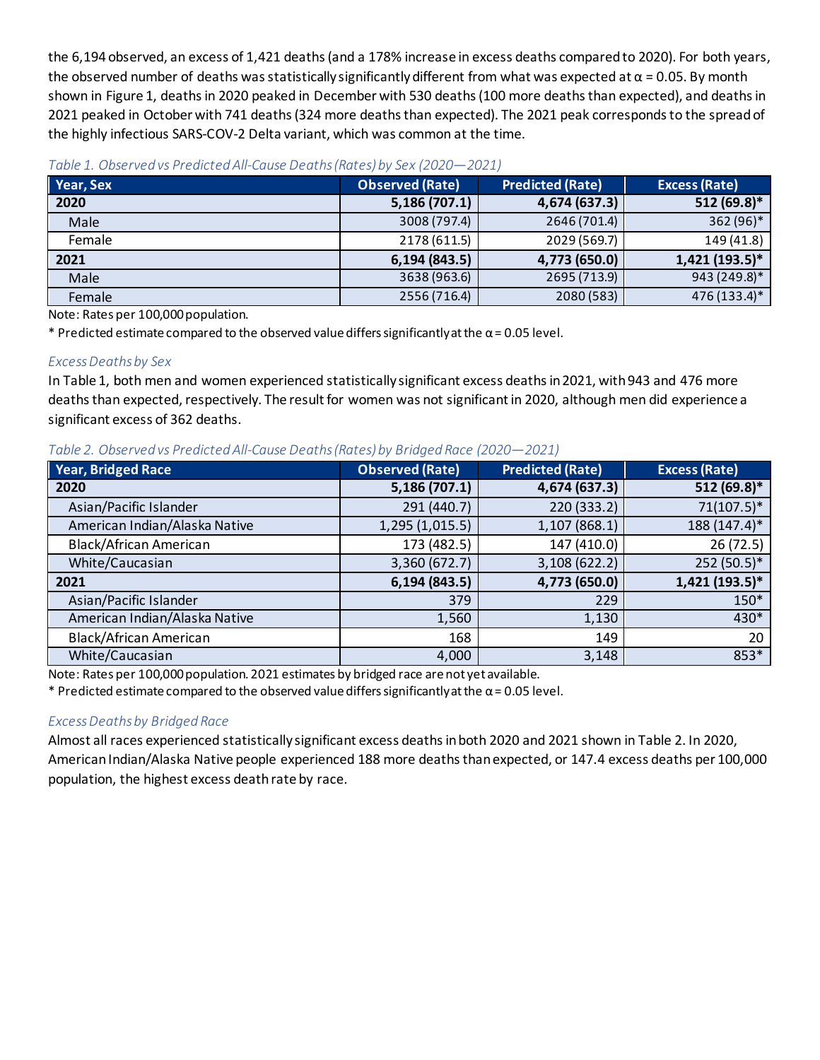the 6,194 observed, an excess of 1,421 deaths (and a 178% increase in excess deaths compared to 2020). For both years, the observed number of deaths was statistically significantly different from what was expected at  $\alpha$  = 0.05. By month shown in Figure 1, deaths in 2020 peaked in December with 530 deaths (100 more deathsthan expected), and deaths in 2021 peaked in October with 741 deaths (324 more deaths than expected). The 2021 peak corresponds to the spread of the highly infectious SARS-COV-2 Delta variant, which was common at the time.

| Year, Sex | <b>Observed (Rate)</b> | <b>Predicted (Rate)</b> | <b>Excess (Rate)</b> |
|-----------|------------------------|-------------------------|----------------------|
| 2020      | 5,186 (707.1)          | 4,674 (637.3)           | 512 (69.8)*          |
| Male      | 3008 (797.4)           | 2646 (701.4)            | 362 (96)*            |
| Female    | 2178 (611.5)           | 2029 (569.7)            | 149 (41.8)           |
| 2021      | 6, 194 (843.5)         | 4,773 (650.0)           | 1,421 (193.5)*       |
| Male      | 3638 (963.6)           | 2695 (713.9)            | 943 (249.8)*         |
| Female    | 2556 (716.4)           | 2080 (583)              | 476 (133.4)*         |

Note: Rates per 100,000 population.

\* Predicted estimate compared to the observed value differs significantly at the  $\alpha$  = 0.05 level.

## *Excess Deaths by Sex*

In Table 1, both men and women experienced statistically significant excess deaths in 2021, with 943 and 476 more deaths than expected, respectively. The result for women was not significant in 2020, although men did experience a significant excess of 362 deaths.

#### *Table 2. Observed vs PredictedAll-Cause Deaths(Rates) by Bridged Race (2020—2021)*

| <b>Year, Bridged Race</b>     | <b>Observed (Rate)</b> | <b>Predicted (Rate)</b> | <b>Excess (Rate)</b> |
|-------------------------------|------------------------|-------------------------|----------------------|
| 2020                          | 5,186 (707.1)          | 4,674 (637.3)           | 512 (69.8)*          |
| Asian/Pacific Islander        | 291 (440.7)            | 220 (333.2)             | $71(107.5)^*$        |
| American Indian/Alaska Native | 1,295 (1,015.5)        | 1,107 (868.1)           | $188(147.4)^*$       |
| Black/African American        | 173 (482.5)            | 147 (410.0)             | 26(72.5)             |
| White/Caucasian               | 3,360 (672.7)          | 3,108 (622.2)           | 252 (50.5)*          |
| 2021                          | 6,194 (843.5)          | 4,773 (650.0)           | 1,421 (193.5)*       |
| Asian/Pacific Islander        | 379                    | 229                     | 150*                 |
| American Indian/Alaska Native | 1,560                  | 1,130                   | 430*                 |
| Black/African American        | 168                    | 149                     | 20                   |
| White/Caucasian               | 4,000                  | 3,148                   | 853*                 |

Note: Rates per 100,000 population. 2021 estimates by bridged race are not yet available.

\* Predicted estimate compared to the observed value differs significantly at the  $\alpha$  = 0.05 level.

#### *Excess Deaths by Bridged Race*

Almost all races experienced statistically significant excess deaths in both 2020 and 2021 shown in Table 2. In 2020, American Indian/Alaska Native people experienced 188 more deaths than expected, or 147.4 excess deaths per 100,000 population, the highest excess death rate by race.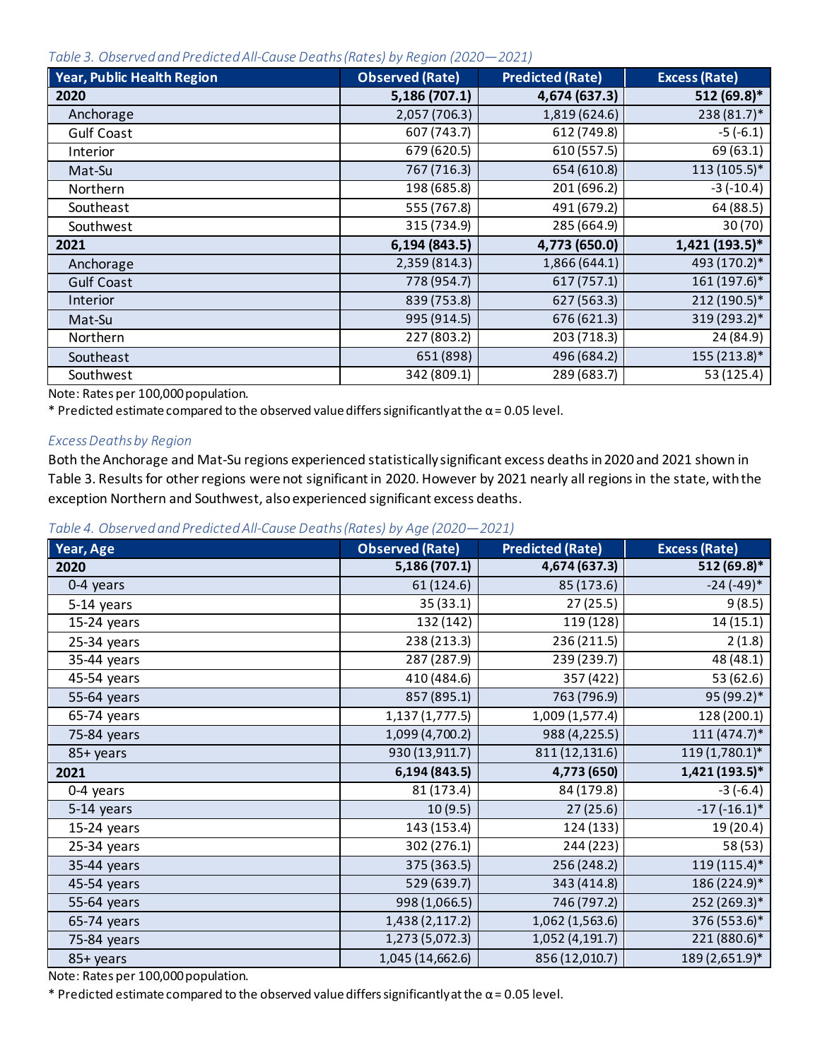*Table 3. Observed and Predicted All-Cause Deaths (Rates) by Region (2020—2021)*

| <b>Year, Public Health Region</b> | <b>Observed (Rate)</b> | <b>Predicted (Rate)</b> | <b>Excess (Rate)</b> |
|-----------------------------------|------------------------|-------------------------|----------------------|
| 2020                              | 5,186 (707.1)          | 4,674 (637.3)           | 512 (69.8)*          |
| Anchorage                         | 2,057 (706.3)          | 1,819 (624.6)           | $238(81.7)^*$        |
| <b>Gulf Coast</b>                 | 607 (743.7)            | 612 (749.8)             | $-5(-6.1)$           |
| Interior                          | 679 (620.5)            | 610 (557.5)             | 69 (63.1)            |
| Mat-Su                            | 767 (716.3)            | 654 (610.8)             | $113(105.5)^*$       |
| Northern                          | 198 (685.8)            | 201 (696.2)             | $-3(-10.4)$          |
| Southeast                         | 555 (767.8)            | 491 (679.2)             | 64 (88.5)            |
| Southwest                         | 315 (734.9)            | 285 (664.9)             | 30(70)               |
| 2021                              | 6,194 (843.5)          | 4,773 (650.0)           | 1,421 (193.5)*       |
| Anchorage                         | 2,359 (814.3)          | 1,866 (644.1)           | 493 (170.2)*         |
| <b>Gulf Coast</b>                 | 778 (954.7)            | 617 (757.1)             | $161(197.6)^*$       |
| Interior                          | 839 (753.8)            | 627 (563.3)             | 212 (190.5)*         |
| Mat-Su                            | 995 (914.5)            | 676 (621.3)             | 319 (293.2)*         |
| Northern                          | 227 (803.2)            | 203 (718.3)             | 24 (84.9)            |
| Southeast                         | 651 (898)              | 496 (684.2)             | 155 (213.8)*         |
| Southwest                         | 342 (809.1)            | 289 (683.7)             | 53 (125.4)           |

Note: Rates per 100,000 population.

 $*$  Predicted estimate compared to the observed value differs significantly at the  $\alpha$  = 0.05 level.

#### *Excess Deaths by Region*

Both the Anchorage and Mat-Su regions experienced statistically significant excess deaths in 2020 and 2021 shown in Table 3. Results for other regions were not significant in 2020. However by 2021 nearly all regions in the state, with the exception Northern and Southwest, also experienced significant excess deaths.

*Table 4. Observed and Predicted All-Cause Deaths (Rates) by Age (2020—2021)*

| Year, Age     | <b>Observed (Rate)</b> | <b>Predicted (Rate)</b> | <b>Excess (Rate)</b> |
|---------------|------------------------|-------------------------|----------------------|
| 2020          | 5,186 (707.1)          | 4,674 (637.3)           | 512 (69.8)*          |
| 0-4 years     | 61 (124.6)             | 85 (173.6)              | $-24(-49)$ *         |
| 5-14 years    | 35 (33.1)              | 27(25.5)                | 9(8.5)               |
| 15-24 years   | 132 (142)              | 119 (128)               | 14(15.1)             |
| $25-34$ years | 238 (213.3)            | 236 (211.5)             | 2(1.8)               |
| $35-44$ years | 287 (287.9)            | 239 (239.7)             | 48 (48.1)            |
| 45-54 years   | 410 (484.6)            | 357 (422)               | 53 (62.6)            |
| 55-64 years   | 857 (895.1)            | 763 (796.9)             | 95 (99.2)*           |
| 65-74 years   | 1,137 (1,777.5)        | 1,009 (1,577.4)         | 128 (200.1)          |
| 75-84 years   | 1,099 (4,700.2)        | 988 (4,225.5)           | $111(474.7)*$        |
| 85+ years     | 930 (13,911.7)         | 811 (12,131.6)          | $119(1,780.1)^*$     |
| 2021          | 6,194 (843.5)          | 4,773 (650)             | 1,421 (193.5)*       |
| 0-4 years     | 81 (173.4)             | 84 (179.8)              | $-3(-6.4)$           |
| 5-14 years    | 10(9.5)                | 27(25.6)                | $-17(-16.1)$ *       |
| $15-24$ years | 143 (153.4)            | 124 (133)               | 19 (20.4)            |
| $25-34$ years | 302(276.1)             | 244(223)                | 58(53)               |
| 35-44 years   | 375 (363.5)            | 256 (248.2)             | $119(115.4)$ *       |
| 45-54 years   | 529 (639.7)            | 343 (414.8)             | 186 (224.9)*         |
| 55-64 years   | 998 (1,066.5)          | 746 (797.2)             | 252 (269.3)*         |
| 65-74 years   | 1,438 (2,117.2)        | 1,062 (1,563.6)         | 376 (553.6)*         |
| 75-84 years   | 1,273 (5,072.3)        | 1,052 (4,191.7)         | 221 (880.6)*         |
| 85+ years     | 1,045 (14,662.6)       | 856 (12,010.7)          | 189 (2,651.9)*       |

Note: Rates per 100,000 population.

\* Predicted estimate compared to the observed value differs significantly at the  $\alpha$  = 0.05 level.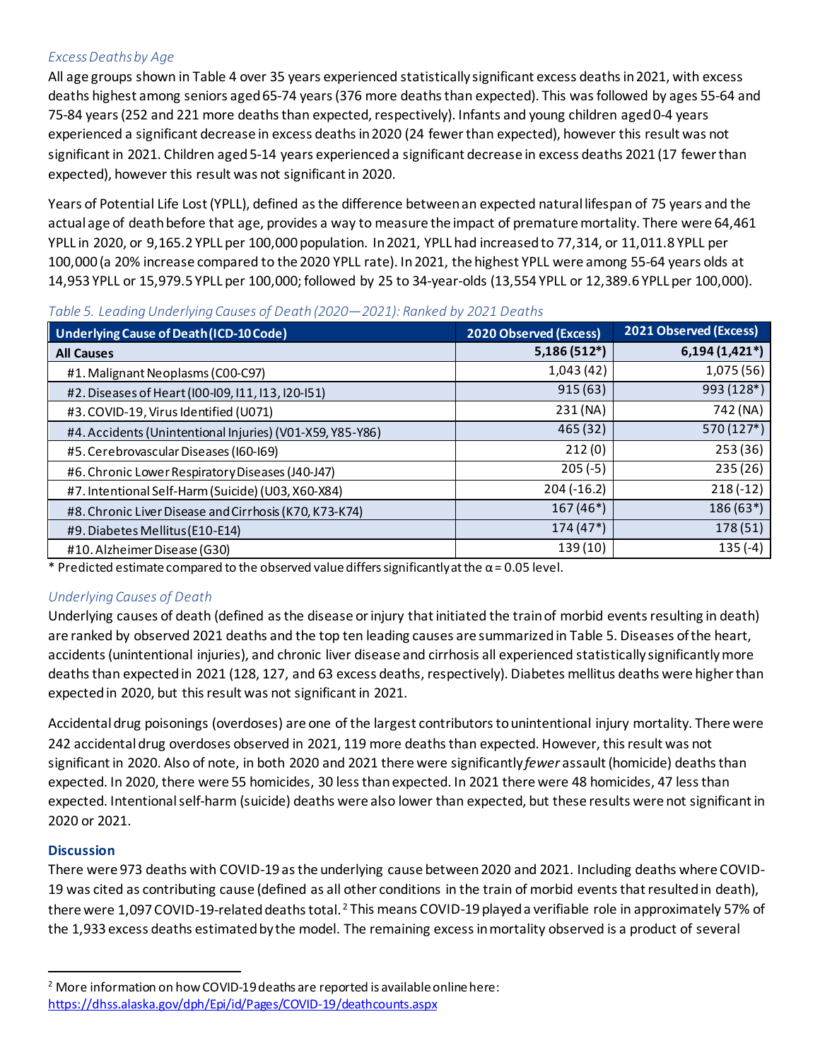## *Excess Deaths by Age*

All age groups shown in Table 4 over 35 years experienced statistically significant excess deaths in 2021, with excess deaths highest among seniors aged 65-74 years (376 more deaths than expected). This was followed by ages 55-64 and 75-84 years (252 and 221 more deaths than expected, respectively). Infants and young children aged 0-4 years experienced a significant decrease in excess deaths in 2020 (24 fewer than expected), however this result was not significant in 2021. Children aged 5-14 years experienced a significant decrease in excess deaths 2021 (17 fewer than expected), however this result was not significant in 2020.

Years of Potential Life Lost (YPLL), defined as the difference between an expected natural lifespan of 75 years and the actual age of death before that age, provides a way to measure the impact of premature mortality. There were 64,461 YPLL in 2020, or 9,165.2 YPLL per 100,000 population. In 2021, YPLL had increased to 77,314, or 11,011.8 YPLL per 100,000 (a 20% increase compared to the 2020 YPLL rate). In 2021, the highest YPLL were among 55-64 years olds at 14,953 YPLL or 15,979.5 YPLL per 100,000; followed by 25 to 34-year-olds (13,554 YPLL or 12,389.6 YPLL per 100,000).

| <b>Underlying Cause of Death (ICD-10 Code)</b>            | 2020 Observed (Excess) | 2021 Observed (Excess) |
|-----------------------------------------------------------|------------------------|------------------------|
| <b>All Causes</b>                                         | $5,186(512*)$          | $6,194(1,421*)$        |
| #1. Malignant Neoplasms (C00-C97)                         | 1,043(42)              | 1,075 (56)             |
| #2. Diseases of Heart (I00-I09, I11, I13, I20-I51)        | 915(63)                | 993 (128*)             |
| #3. COVID-19, Virus Identified (U071)                     | 231 (NA)               | 742 (NA)               |
| #4. Accidents (Unintentional Injuries) (V01-X59, Y85-Y86) | 465 (32)               | 570 (127*)             |
| #5. Cerebrovascular Diseases (I60-I69)                    | 212(0)                 | 253 (36)               |
| #6. Chronic Lower Respiratory Diseases (J40-J47)          | $205(-5)$              | 235(26)                |
| #7. Intentional Self-Harm (Suicide) (U03, X60-X84)        | $204 (-16.2)$          | $218(-12)$             |
| #8. Chronic Liver Disease and Cirrhosis (K70, K73-K74)    | $167(46*)$             | $186(63*)$             |
| #9. Diabetes Mellitus (E10-E14)                           | $174(47*)$             | 178 (51)               |
| #10. Alzheimer Disease (G30)                              | 139 (10)               | $135(-4)$              |

#### *Table 5. Leading Underlying Causes of Death (2020—2021): Ranked by 2021 Deaths*

\* Predicted estimate compared to the observed value differs significantly at the  $\alpha$  = 0.05 level.

## *Underlying Causes of Death*

Underlying causes of death (defined as the disease or injury that initiated the train of morbid events resulting in death) are ranked by observed 2021 deaths and the top ten leading causes are summarized in Table 5. Diseases of the heart, accidents (unintentional injuries), and chronic liver disease and cirrhosis all experienced statistically significantly more deaths than expected in 2021 (128, 127, and 63 excess deaths, respectively). Diabetes mellitus deaths were higher than expected in 2020, but this result was not significant in 2021.

Accidental drug poisonings (overdoses) are one of the largest contributors to unintentional injury mortality. There were 242 accidental drug overdoses observed in 2021, 119 more deaths than expected. However, this result was not significant in 2020. Also of note, in both 2020 and 2021 there were significantly *fewer* assault (homicide) deaths than expected. In 2020, there were 55 homicides, 30 less than expected. In 2021 there were 48 homicides, 47 less than expected. Intentional self-harm (suicide) deaths were also lower than expected, but these results were not significant in 2020 or 2021.

## **Discussion**

There were 973 deaths with COVID-19 as the underlying cause between 2020 and 2021. Including deaths where COVID-19 was cited as contributing cause (defined as all other conditions in the train of morbid eventsthat resulted in death), there were 1,097 COVID-19-related deaths total. [2](#page-3-0) This means COVID-19 played a verifiable role in approximately 57% of the 1,933 excess deaths estimatedby the model. The remaining excess in mortality observed is a product of several

<span id="page-3-0"></span><sup>&</sup>lt;sup>2</sup> More information on how COVID-19 deaths are reported is available online here: <https://dhss.alaska.gov/dph/Epi/id/Pages/COVID-19/deathcounts.aspx>